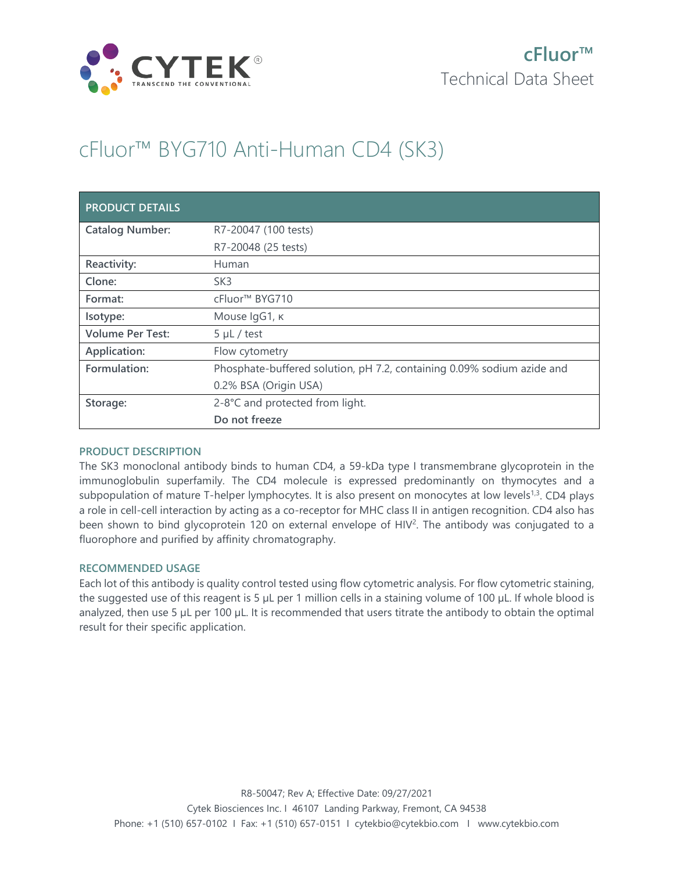

# cFluor™ BYG710 Anti-Human CD4 (SK3)

| <b>PRODUCT DETAILS</b>  |                                                                        |
|-------------------------|------------------------------------------------------------------------|
| <b>Catalog Number:</b>  | R7-20047 (100 tests)                                                   |
|                         | R7-20048 (25 tests)                                                    |
| Reactivity:             | Human                                                                  |
| Clone:                  | SK <sub>3</sub>                                                        |
| Format:                 | cFluor <sup>™</sup> BYG710                                             |
| Isotype:                | Mouse IgG1, к                                                          |
| <b>Volume Per Test:</b> | $5 \mu L$ / test                                                       |
| Application:            | Flow cytometry                                                         |
| Formulation:            | Phosphate-buffered solution, pH 7.2, containing 0.09% sodium azide and |
|                         | 0.2% BSA (Origin USA)                                                  |
| Storage:                | 2-8°C and protected from light.                                        |
|                         | Do not freeze                                                          |

## **PRODUCT DESCRIPTION**

The SK3 monoclonal antibody binds to human CD4, a 59-kDa type I transmembrane glycoprotein in the immunoglobulin superfamily. The CD4 molecule is expressed predominantly on thymocytes and a subpopulation of mature T-helper lymphocytes. It is also present on monocytes at low levels<sup>1,3</sup>. CD4 plays a role in cell-cell interaction by acting as a co-receptor for MHC class II in antigen recognition. CD4 also has been shown to bind glycoprotein 120 on external envelope of  $H/V<sup>2</sup>$ . The antibody was conjugated to a fluorophore and purified by affinity chromatography.

## **RECOMMENDED USAGE**

Each lot of this antibody is quality control tested using flow cytometric analysis. For flow cytometric staining, the suggested use of this reagent is 5 µL per 1 million cells in a staining volume of 100 µL. If whole blood is analyzed, then use 5 µL per 100 µL. It is recommended that users titrate the antibody to obtain the optimal result for their specific application.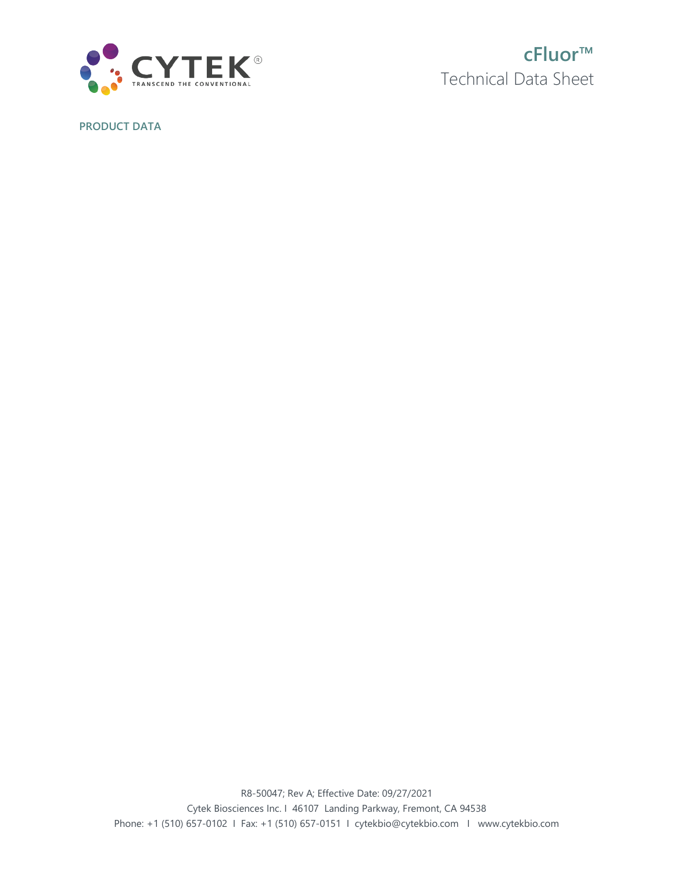

**cFluor™** Technical Data Sheet

**PRODUCT DATA**